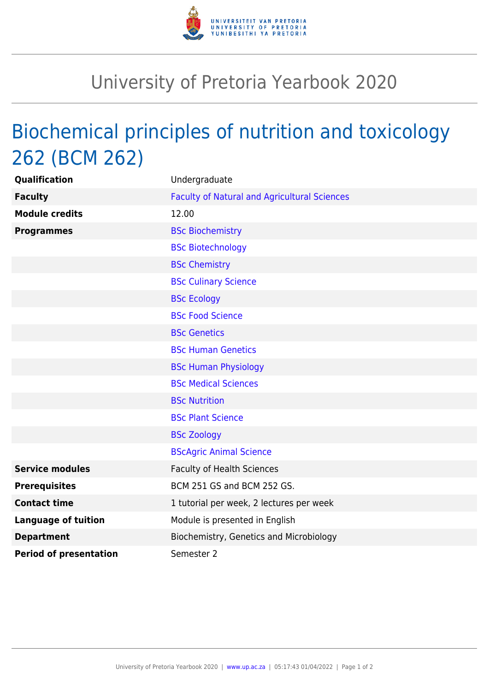

## University of Pretoria Yearbook 2020

## Biochemical principles of nutrition and toxicology 262 (BCM 262)

| Qualification                 | Undergraduate                                       |
|-------------------------------|-----------------------------------------------------|
| <b>Faculty</b>                | <b>Faculty of Natural and Agricultural Sciences</b> |
| <b>Module credits</b>         | 12.00                                               |
| <b>Programmes</b>             | <b>BSc Biochemistry</b>                             |
|                               | <b>BSc Biotechnology</b>                            |
|                               | <b>BSc Chemistry</b>                                |
|                               | <b>BSc Culinary Science</b>                         |
|                               | <b>BSc Ecology</b>                                  |
|                               | <b>BSc Food Science</b>                             |
|                               | <b>BSc Genetics</b>                                 |
|                               | <b>BSc Human Genetics</b>                           |
|                               | <b>BSc Human Physiology</b>                         |
|                               | <b>BSc Medical Sciences</b>                         |
|                               | <b>BSc Nutrition</b>                                |
|                               | <b>BSc Plant Science</b>                            |
|                               | <b>BSc Zoology</b>                                  |
|                               | <b>BScAgric Animal Science</b>                      |
| <b>Service modules</b>        | <b>Faculty of Health Sciences</b>                   |
| <b>Prerequisites</b>          | BCM 251 GS and BCM 252 GS.                          |
| <b>Contact time</b>           | 1 tutorial per week, 2 lectures per week            |
| <b>Language of tuition</b>    | Module is presented in English                      |
| <b>Department</b>             | Biochemistry, Genetics and Microbiology             |
| <b>Period of presentation</b> | Semester 2                                          |